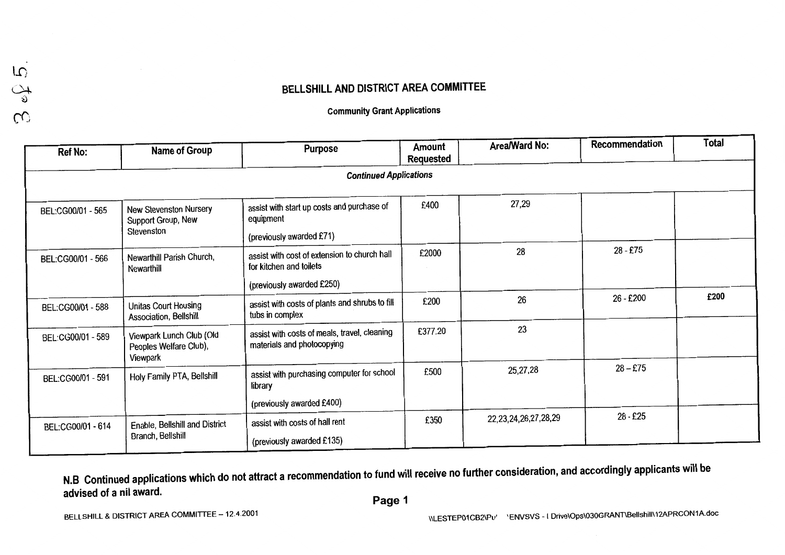### BELLSHILL AND DISTRICT AREA COMMITTEE

**Community Grant Applications** 

| <b>Ref No:</b>    | Name of Group                                                     | <b>Purpose</b>                                                                                       | Amount<br><b>Requested</b> | Area/Ward No:              | Recommendation | <b>Total</b> |
|-------------------|-------------------------------------------------------------------|------------------------------------------------------------------------------------------------------|----------------------------|----------------------------|----------------|--------------|
|                   |                                                                   | <b>Continued Applications</b>                                                                        |                            |                            |                |              |
| BEL:CG00/01 - 565 | <b>New Stevenston Nursery</b><br>Support Group, New<br>Stevenston | assist with start up costs and purchase of<br>equipment<br>(previously awarded £71)                  | £400                       | 27,29                      |                |              |
| BEL:CG00/01 - 566 | Newarthill Parish Church,<br>Newarthill                           | assist with cost of extension to church hall<br>for kitchen and toilets<br>(previously awarded £250) | £2000                      | 28                         | 28 - £75       |              |
| BEL:CG00/01 - 588 | Unitas Court Housing<br>Association, Bellshill                    | assist with costs of plants and shrubs to fill<br>tubs in complex                                    | £200                       | 26                         | 26 - £200      | £200         |
| BEL:CG00/01 - 589 | Viewpark Lunch Club (Old<br>Peoples Welfare Club),<br>Viewpark    | assist with costs of meals, travel, cleaning<br>materials and photocopying                           | £377.20                    | 23                         |                |              |
| BEL:CG00/01 - 591 | Holy Family PTA, Bellshill                                        | assist with purchasing computer for school<br>library                                                | £500                       | 25,27,28                   | $28 - £75$     |              |
| BEL:CG00/01 - 614 | Enable, Bellshill and District<br>Branch, Bellshill               | (previously awarded £400)<br>assist with costs of hall rent<br>(previously awarded £135)             | £350                       | 22, 23, 24, 26, 27, 28, 29 | 28 - £25       |              |

N.B Continued applications which do not attract a recommendation to fund will receive no further consideration, and accordingly applicants will be advised of a nil award.

 $\frac{1}{2}$  or  $\frac{1}{2}$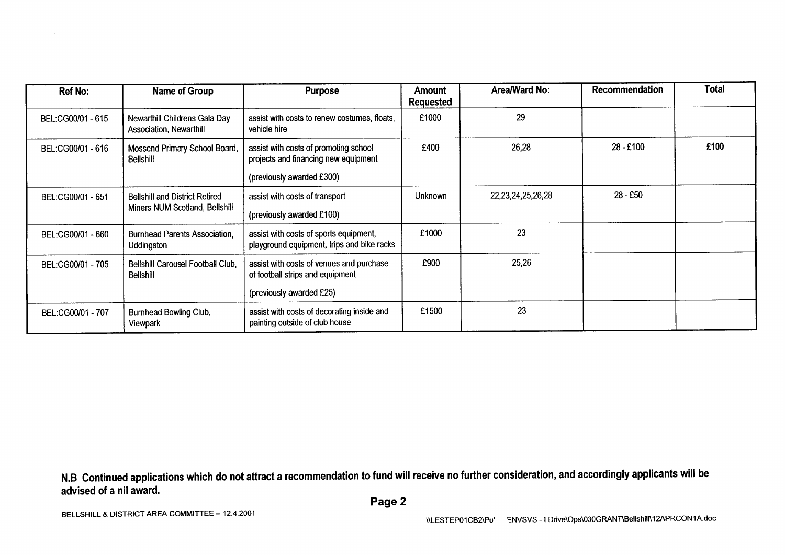| <b>Ref No:</b>                 | <b>Name of Group</b>                                      | <b>Purpose</b>                                                                                                                                     | <b>Amount</b><br><b>Requested</b> | Area/Ward No:          | Recommendation                                                      | <b>Total</b> |
|--------------------------------|-----------------------------------------------------------|----------------------------------------------------------------------------------------------------------------------------------------------------|-----------------------------------|------------------------|---------------------------------------------------------------------|--------------|
| BEL:CG00/01 - 615              | Newarthill Childrens Gala Day<br>Association, Newarthill  | assist with costs to renew costumes, floats,<br>vehicle hire                                                                                       | £1000                             | 29                     |                                                                     |              |
| BEL:CG00/01 - 616              | Mossend Primary School Board,<br><b>Bellshill</b>         | assist with costs of promoting school<br>projects and financing new equipment                                                                      | £400                              | 26,28                  | 28 - £100                                                           | £100         |
|                                |                                                           | (previously awarded £300)                                                                                                                          |                                   |                        |                                                                     |              |
| BEL:CG00/01 - 651              | <b>Bellshill and District Retired</b>                     | assist with costs of transport                                                                                                                     | Unknown                           | 22, 23, 24, 25, 26, 28 | 28 - £50                                                            |              |
| Miners NUM Scotland, Bellshill | (previously awarded £100)                                 |                                                                                                                                                    |                                   |                        |                                                                     |              |
| BEL:CG00/01 - 660              | <b>Burnhead Parents Association,</b><br><b>Uddingston</b> | assist with costs of sports equipment,<br>playground equipment, trips and bike racks                                                               | £1000                             | 23                     |                                                                     |              |
| BEL:CG00/01 - 705              | Bellshill Carousel Football Club.<br><b>Bellshill</b>     | assist with costs of venues and purchase<br>of football strips and equipment                                                                       | £900                              | 25,26                  |                                                                     |              |
|                                |                                                           | (previously awarded £25)                                                                                                                           |                                   |                        |                                                                     |              |
| BEL:CG00/01 - 707              | Burnhead Bowling Club,<br>Viewpark                        | assist with costs of decorating inside and<br>painting outside of club house                                                                       | £1500                             | 23                     |                                                                     |              |
|                                |                                                           |                                                                                                                                                    |                                   |                        |                                                                     |              |
| advised of a nil award.        |                                                           | N.B Continued applications which do not attract a recommendation to fund will receive no further consideration, and accordingly applicants will be |                                   |                        |                                                                     |              |
|                                |                                                           | Page 2                                                                                                                                             |                                   |                        |                                                                     |              |
|                                | BELLSHILL & DISTRICT AREA COMMITTEE - 12.4.2001           |                                                                                                                                                    |                                   |                        | u corronacegou chusus i Druglopologoce ANTIBellebill 12APRCON1A doc |              |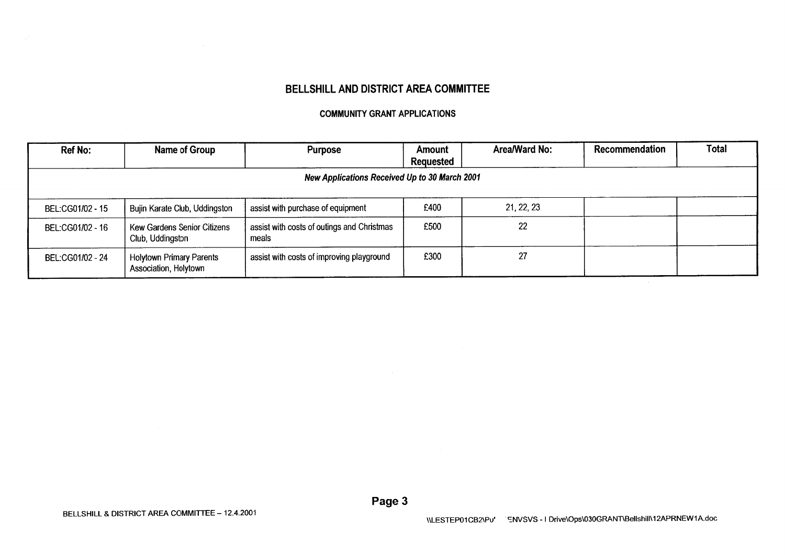### BELLSHILL AND DISTRICT AREA COMMITTEE

#### **COMMUNITY GRANT APPLICATIONS**

| Ref No:          | Name of Group                                            | <b>Purpose</b>                                      | Amount<br><b>Requested</b> | Area/Ward No: | Recommendation | Total |
|------------------|----------------------------------------------------------|-----------------------------------------------------|----------------------------|---------------|----------------|-------|
|                  |                                                          | New Applications Received Up to 30 March 2001       |                            |               |                |       |
| BEL:CG01/02 - 15 | Bujin Karate Club, Uddingston                            | assist with purchase of equipment                   | £400                       | 21, 22, 23    |                |       |
| BEL:CG01/02 - 16 | <b>Kew Gardens Senior Citizens</b><br>Club, Uddingston   | assist with costs of outings and Christmas<br>meals | £500                       | 22            |                |       |
| BEL:CG01/02 - 24 | <b>Holytown Primary Parents</b><br>Association, Holytown | assist with costs of improving playground           | £300                       | 27            |                |       |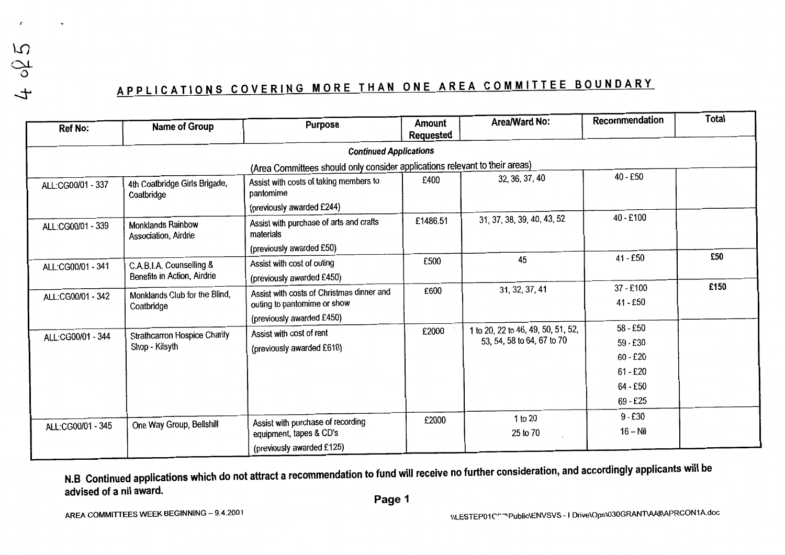$\overline{5}$  $\mathcal{S}$  $\overline{t}$ 

# APPLICATIONS COVERING MORE THAN ONE AREA COMMITTEE BOUNDARY

| <b>Ref No:</b>              | Name of Group                                    | <b>Purpose</b>                                                              | <b>Amount</b><br>Requested | Area/Ward No:                      | Recommendation | Total |
|-----------------------------|--------------------------------------------------|-----------------------------------------------------------------------------|----------------------------|------------------------------------|----------------|-------|
|                             |                                                  | <b>Continued Applications</b>                                               |                            |                                    |                |       |
|                             |                                                  |                                                                             |                            |                                    |                |       |
|                             |                                                  | (Area Committees should only consider applications relevant to their areas) |                            | 32, 36, 37, 40                     | 40 - £50       |       |
| ALL:CG00/01 - 337           | 4th Coatbridge Girls Brigade,<br>Coatbridge      | Assist with costs of taking members to<br>pantomime                         | £400                       |                                    |                |       |
|                             |                                                  | (previously awarded £244)                                                   |                            |                                    |                |       |
| ALL:CG00/01 - 339           | <b>Monklands Rainbow</b><br>Association, Airdrie | Assist with purchase of arts and crafts<br>materials                        | £1486.51                   | 31, 37, 38, 39, 40, 43, 52         | 40 - £100      |       |
|                             |                                                  | (previously awarded £50)                                                    |                            |                                    |                |       |
| ALL:CG00/01 - 341           | C.A.B.I.A. Counselling &                         | Assist with cost of outing                                                  | £500                       | 45                                 | 41 - £50       | £50   |
| Benefits in Action, Airdrie | (previously awarded £450)                        |                                                                             |                            |                                    |                |       |
| ALL:CG00/01 - 342           | Monklands Club for the Blind,                    | Assist with costs of Christmas dinner and                                   | £600                       | 31, 32, 37, 41                     | 37 - £100      | £150  |
|                             | Coatbridge                                       | outing to pantomime or show                                                 |                            |                                    | 41 - £50       |       |
|                             |                                                  | (previously awarded £450)                                                   |                            |                                    |                |       |
| ALL:CG00/01 - 344           | <b>Strathcarron Hospice Charity</b>              | Assist with cost of rent                                                    | £2000                      | 1 to 20, 22 to 46, 49, 50, 51, 52, | 58 - £50       |       |
|                             | Shop - Kilsyth                                   | (previously awarded £610)                                                   |                            | 53, 54, 58 to 64, 67 to 70         | 59 - £30       |       |
|                             |                                                  |                                                                             |                            |                                    | $60 - £20$     |       |
|                             |                                                  |                                                                             |                            |                                    | $61 - £20$     |       |
|                             |                                                  |                                                                             |                            |                                    | 64 - £50       |       |
|                             |                                                  |                                                                             |                            |                                    | 69 - £25       |       |
|                             |                                                  | Assist with purchase of recording                                           | £2000                      | 1 to 20                            | $9 - £30$      |       |
| ALL:CG00/01 - 345           | One Way Group, Bellshill                         | equipment, tapes & CD's                                                     |                            | 25 to 70                           | $16 - Nil$     |       |
|                             |                                                  | (previously awarded £125)                                                   |                            |                                    |                |       |

N.B Continued applications which do not attract a recommendation to fund will receive no further consideration, and accordingly applicants will be advised of a nil award.

Page 1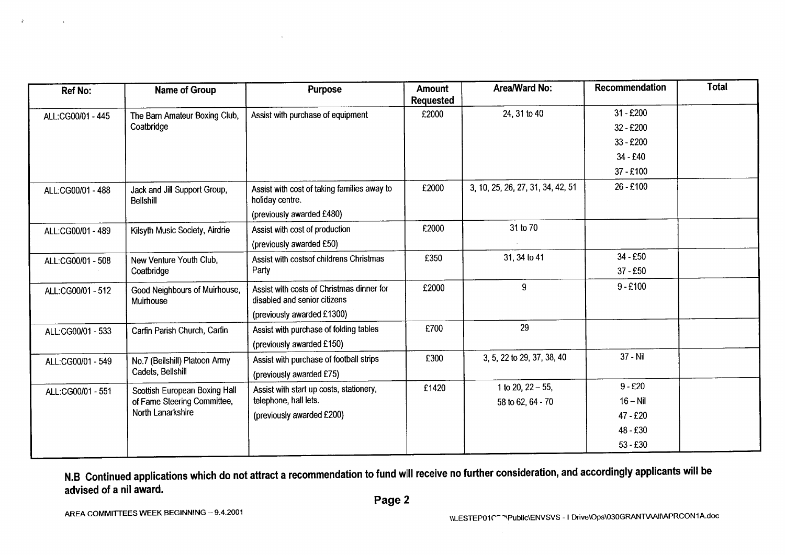| <b>Ref No:</b>    | <b>Name of Group</b>                             | <b>Purpose</b>                                                            | <b>Amount</b><br><b>Requested</b> | Area/Ward No:                     | Recommendation | <b>Total</b> |
|-------------------|--------------------------------------------------|---------------------------------------------------------------------------|-----------------------------------|-----------------------------------|----------------|--------------|
| ALL:CG00/01 - 445 | The Barn Amateur Boxing Club,                    | Assist with purchase of equipment                                         | £2000                             | 24, 31 to 40                      | $31 - £200$    |              |
|                   | Coatbridge                                       |                                                                           |                                   |                                   | 32 - £200      |              |
|                   |                                                  |                                                                           |                                   |                                   | 33 - £200      |              |
|                   |                                                  |                                                                           |                                   |                                   | 34 - £40       |              |
|                   |                                                  |                                                                           |                                   |                                   | 37 - £100      |              |
| ALL:CG00/01 - 488 | Jack and Jill Support Group,<br><b>Bellshill</b> | Assist with cost of taking families away to<br>holiday centre.            | £2000                             | 3, 10, 25, 26, 27, 31, 34, 42, 51 | 26 - £100      |              |
|                   |                                                  | (previously awarded £480)                                                 |                                   |                                   |                |              |
| ALL:CG00/01 - 489 | Kilsyth Music Society, Airdrie                   | Assist with cost of production                                            | £2000                             | 31 to 70                          |                |              |
|                   |                                                  | (previously awarded £50)                                                  |                                   |                                   |                |              |
| ALL:CG00/01 - 508 | New Venture Youth Club,<br>Coatbridge            | Assist with costsof childrens Christmas                                   | £350                              | 31, 34 to 41                      | 34 - £50       |              |
|                   |                                                  | Party                                                                     |                                   |                                   | 37 - £50       |              |
| ALL:CG00/01 - 512 | Good Neighbours of Muirhouse,<br>Muirhouse       | Assist with costs of Christmas dinner for<br>disabled and senior citizens | £2000                             | 9                                 | $9 - £100$     |              |
|                   |                                                  | (previously awarded £1300)                                                |                                   |                                   |                |              |
| ALL:CG00/01 - 533 | Carfin Parish Church, Carfin                     | Assist with purchase of folding tables                                    | £700                              | 29                                |                |              |
|                   |                                                  | (previously awarded £150)                                                 |                                   |                                   |                |              |
| ALL:CG00/01 - 549 | No.7 (Bellshill) Platoon Army                    | Assist with purchase of football strips                                   | £300                              | 3, 5, 22 to 29, 37, 38, 40        | 37 - Nil       |              |
|                   | Cadets, Bellshill                                | (previously awarded £75)                                                  |                                   |                                   |                |              |
| ALL:CG00/01 - 551 | Scottish European Boxing Hall                    | Assist with start up costs, stationery,                                   | £1420                             | 1 to 20, $22 - 55$ ,              | $9 - £20$      |              |
|                   | of Fame Steering Committee,                      | telephone, hall lets.                                                     |                                   | 58 to 62, 64 - 70                 | $16 - Nil$     |              |
|                   | North Lanarkshire                                | (previously awarded £200)                                                 |                                   |                                   | 47 - £20       |              |
|                   |                                                  |                                                                           |                                   |                                   | 48 - £30       |              |
|                   |                                                  |                                                                           |                                   |                                   | $53 - £30$     |              |

 $\mathcal{L}$ 

 $\ddot{\phantom{a}}$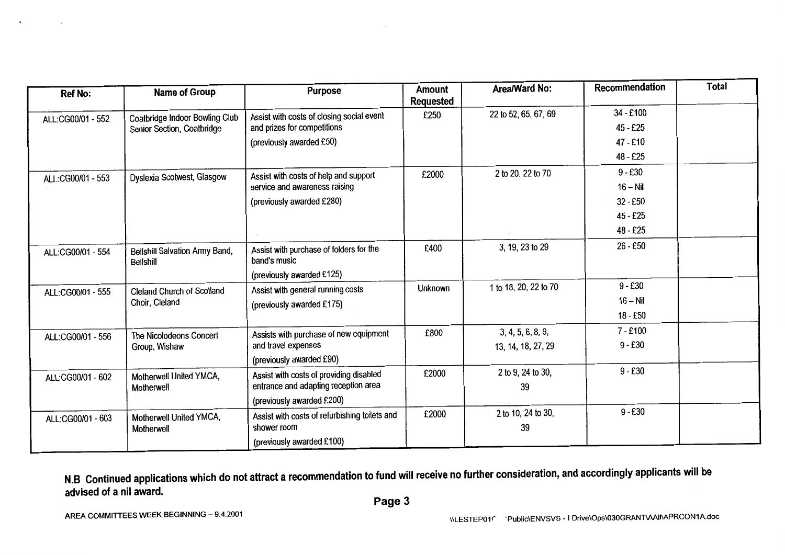| <b>Ref No:</b>    | Name of Group                                      | <b>Purpose</b>                                          | <b>Amount</b><br><b>Requested</b> | Area/Ward No:         | Recommendation | <b>Total</b> |
|-------------------|----------------------------------------------------|---------------------------------------------------------|-----------------------------------|-----------------------|----------------|--------------|
| ALL:CG00/01 - 552 | Coatbridge Indoor Bowling Club                     | Assist with costs of closing social event               | £250                              | 22 to 52, 65, 67, 69  | 34 - £100      |              |
|                   | Senior Section, Coatbridge                         | and prizes for competitions                             |                                   |                       | $45 - £25$     |              |
|                   |                                                    | (previously awarded £50)                                |                                   |                       | 47 - £10       |              |
|                   |                                                    |                                                         |                                   |                       | 48 - £25       |              |
| ALL:CG00/01 - 553 | Dyslexia Scotwest, Glasgow                         | Assist with costs of help and support                   | £2000                             | 2 to 20. 22 to 70     | $9 - £30$      |              |
|                   |                                                    | service and awareness raising                           |                                   |                       | $16 - Nil$     |              |
|                   |                                                    | (previously awarded £280)                               |                                   |                       | $32 - £50$     |              |
|                   |                                                    |                                                         |                                   |                       | 45 - £25       |              |
|                   |                                                    |                                                         |                                   |                       | 48 - £25       |              |
| ALL:CG00/01 - 554 | Bellshill Salvation Army Band,<br><b>Bellshill</b> | Assist with purchase of folders for the<br>band's music | £400                              | 3, 19, 23 to 29       | 26 - £50       |              |
|                   |                                                    | (previously awarded £125)                               |                                   |                       |                |              |
| ALL:CG00/01 - 555 | Cleland Church of Scotland                         | Assist with general running costs                       | Unknown                           | 1 to 18, 20, 22 to 70 | $9 - £30$      |              |
|                   | Choir, Cleland                                     | (previously awarded £175)                               |                                   |                       | $16 - Nil$     |              |
|                   |                                                    |                                                         |                                   |                       | $18 - £50$     |              |
| ALL:CG00/01 - 556 | The Nicolodeons Concert                            | Assists with purchase of new equipment                  | £800                              | 3, 4, 5, 6, 8, 9,     | $7 - £100$     |              |
|                   | Group, Wishaw                                      | and travel expenses                                     |                                   | 13, 14, 18, 27, 29    | $9 - £30$      |              |
|                   |                                                    | (previously awarded £90)                                |                                   |                       |                |              |
| ALL:CG00/01 - 602 | Motherwell United YMCA,                            | Assist with costs of providing disabled                 | £2000                             | 2 to 9, 24 to 30,     | $9 - £30$      |              |
|                   | Motherwell                                         | entrance and adapting reception area                    |                                   | 39                    |                |              |
|                   |                                                    | (previously awarded £200)                               |                                   |                       |                |              |
| ALL:CG00/01 - 603 | Motherwell United YMCA,                            | Assist with costs of refurbishing toilets and           | £2000                             | 2 to 10, 24 to 30,    | $9 - £30$      |              |
|                   | Motherwell                                         | shower room                                             |                                   | 39                    |                |              |
|                   |                                                    | (previously awarded £100)                               |                                   |                       |                |              |

 $\lambda$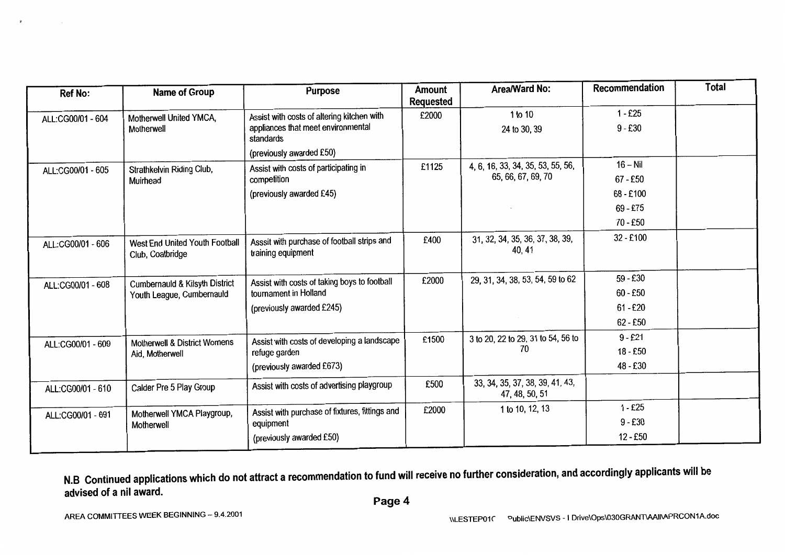| <b>Ref No:</b>    | Name of Group                                      | <b>Purpose</b>                                                    | <b>Amount</b><br><b>Requested</b> | Area/Ward No:                                     | Recommendation | <b>Total</b> |
|-------------------|----------------------------------------------------|-------------------------------------------------------------------|-----------------------------------|---------------------------------------------------|----------------|--------------|
| ALL:CG00/01 - 604 | Motherwell United YMCA,                            | Assist with costs of altering kitchen with                        | £2000                             | 1 to 10                                           | $1 - £25$      |              |
|                   | Motherwell                                         | appliances that meet environmental<br>standards                   |                                   | 24 to 30, 39                                      | $9 - £30$      |              |
|                   |                                                    | (previously awarded £50)                                          |                                   |                                                   |                |              |
| ALL:CG00/01 - 605 | Strathkelvin Riding Club,                          | Assist with costs of participating in                             | £1125                             | 4, 6, 16, 33, 34, 35, 53, 55, 56,                 | $16 - Nil$     |              |
|                   | Muirhead                                           | competition                                                       |                                   | 65, 66, 67, 69, 70                                | $67 - £50$     |              |
|                   |                                                    | (previously awarded £45)                                          |                                   |                                                   | 68 - £100      |              |
|                   |                                                    |                                                                   |                                   |                                                   | $69 - £75$     |              |
|                   |                                                    |                                                                   |                                   |                                                   | $70 - £50$     |              |
| ALL:CG00/01 - 606 | West End United Youth Football<br>Club, Coatbridge | Asssit with purchase of football strips and<br>training equipment | £400                              | 31, 32, 34, 35, 36, 37, 38, 39,<br>40, 41         | $32 - £100$    |              |
| ALL:CG00/01 - 608 | <b>Cumbernauld &amp; Kilsyth District</b>          | Assist with costs of taking boys to football                      | £2000                             | 29, 31, 34, 38, 53, 54, 59 to 62                  | $59 - £30$     |              |
|                   | Youth League, Cumbernauld                          | tournament in Holland                                             |                                   |                                                   | $60 - £50$     |              |
|                   |                                                    | (previously awarded £245)                                         |                                   |                                                   | $61 - £20$     |              |
|                   |                                                    |                                                                   |                                   |                                                   | $62 - £50$     |              |
| ALL:CG00/01 - 609 | <b>Motherwell &amp; District Womens</b>            | Assist with costs of developing a landscape                       | £1500                             | 3 to 20, 22 to 29, 31 to 54, 56 to                | $9 - £21$      |              |
|                   | Aid, Motherwell                                    | refuge garden                                                     |                                   | 70                                                | 18 - £50       |              |
|                   |                                                    | (previously awarded £673)                                         |                                   |                                                   | 48 - £30       |              |
| ALL:CG00/01 - 610 | Calder Pre 5 Play Group                            | Assist with costs of advertising playgroup                        | £500                              | 33, 34, 35, 37, 38, 39, 41, 43,<br>47, 48, 50, 51 |                |              |
| ALL:CG00/01 - 691 | Motherwell YMCA Playgroup,                         | Assist with purchase of fixtures, fittings and                    | £2000                             | 1 to 10, 12, 13                                   | $1 - £25$      |              |
|                   | Motherwell                                         | equipment                                                         |                                   |                                                   | $9 - £30$      |              |
|                   |                                                    | (previously awarded £50)                                          |                                   |                                                   | $12 - £50$     |              |

 $\tilde{\mathbf{x}}$ 

 $\sim 10^{-11}$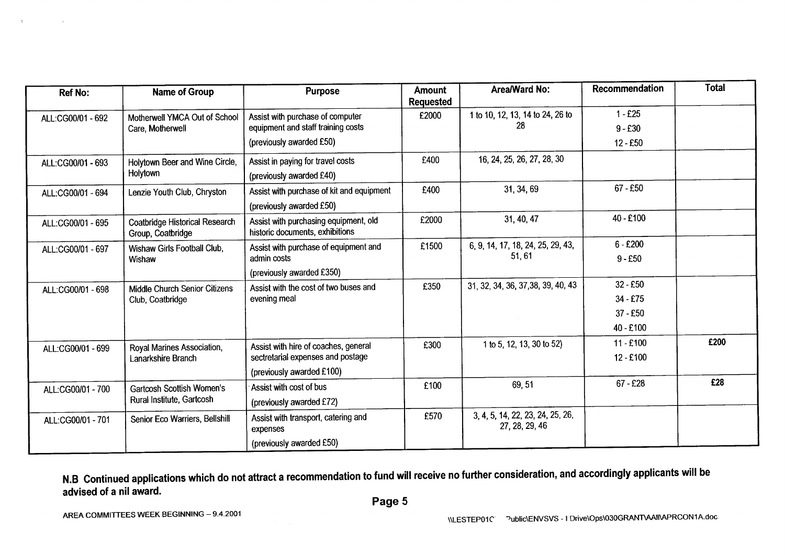| <b>Ref No:</b>    | <b>Name of Group</b>                                       | <b>Purpose</b>                                                           | <b>Amount</b><br><b>Requested</b> | Area/Ward No:                                      | Recommendation | <b>Total</b> |
|-------------------|------------------------------------------------------------|--------------------------------------------------------------------------|-----------------------------------|----------------------------------------------------|----------------|--------------|
| ALL:CG00/01 - 692 | Motherwell YMCA Out of School                              | Assist with purchase of computer                                         | £2000                             | 1 to 10, 12, 13, 14 to 24, 26 to                   | $1 - £25$      |              |
|                   | Care, Motherwell                                           | equipment and staff training costs                                       |                                   | 28                                                 | $9 - £30$      |              |
|                   |                                                            | (previously awarded £50)                                                 |                                   |                                                    | $12 - £50$     |              |
| ALL:CG00/01 - 693 | Holytown Beer and Wine Circle,                             | Assist in paying for travel costs                                        | £400                              | 16, 24, 25, 26, 27, 28, 30                         |                |              |
|                   | Holytown                                                   | (previously awarded £40)                                                 |                                   |                                                    |                |              |
| ALL:CG00/01 - 694 | Lenzie Youth Club, Chryston                                | Assist with purchase of kit and equipment                                | £400                              | 31, 34, 69                                         | $67 - £50$     |              |
|                   |                                                            | (previously awarded £50)                                                 |                                   |                                                    |                |              |
| ALL:CG00/01 - 695 | <b>Coatbridge Historical Research</b><br>Group, Coatbridge | Assist with purchasing equipment, old<br>historic documents, exhibitions | £2000                             | 31, 40, 47                                         | 40 - £100      |              |
| ALL:CG00/01 - 697 | Wishaw Girls Football Club,                                | Assist with purchase of equipment and<br>admin costs                     | £1500                             | 6, 9, 14, 17, 18, 24, 25, 29, 43,<br>51, 61        | $6 - £200$     |              |
|                   | Wishaw                                                     |                                                                          |                                   |                                                    | $9 - £50$      |              |
|                   |                                                            | (previously awarded £350)                                                |                                   |                                                    |                |              |
| ALL:CG00/01 - 698 | Middle Church Senior Citizens                              | Assist with the cost of two buses and                                    | £350                              | 31, 32, 34, 36, 37, 38, 39, 40, 43                 | $32 - £50$     |              |
|                   | Club, Coatbridge                                           | evening meal                                                             |                                   |                                                    | $34 - £75$     |              |
|                   |                                                            |                                                                          |                                   |                                                    | $37 - £50$     |              |
|                   |                                                            |                                                                          |                                   |                                                    | 40 - £100      |              |
| ALL:CG00/01 - 699 | Royal Marines Association,                                 | Assist with hire of coaches, general                                     | £300                              | 1 to 5, 12, 13, 30 to 52)                          | $11 - £100$    | £200         |
|                   | Lanarkshire Branch                                         | sectretarial expenses and postage                                        |                                   |                                                    | $12 - £100$    |              |
|                   |                                                            | (previously awarded £100)                                                |                                   |                                                    |                |              |
| ALL:CG00/01 - 700 | Gartcosh Scottish Women's                                  | Assist with cost of bus                                                  | £100                              | 69, 51                                             | $67 - £28$     | £28          |
|                   | Rural Institute, Gartcosh                                  | (previously awarded £72)                                                 |                                   |                                                    |                |              |
| ALL:CG00/01 - 701 | Senior Eco Warriers, Bellshill                             | Assist with transport, catering and<br>expenses                          | £570                              | 3, 4, 5, 14, 22, 23, 24, 25, 26,<br>27, 28, 29, 46 |                |              |
|                   |                                                            | (previously awarded £50)                                                 |                                   |                                                    |                |              |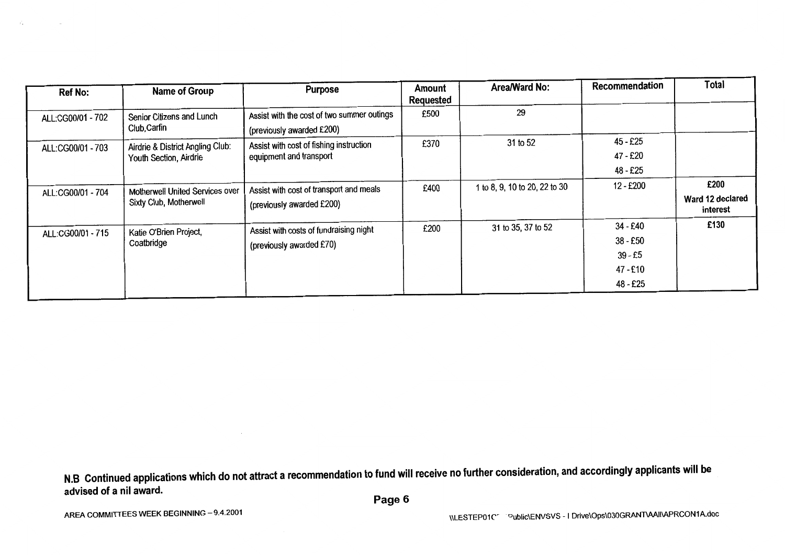| <b>Ref No:</b>    | <b>Name of Group</b>                                             | <b>Purpose</b>                                                          | Amount<br><b>Requested</b> | Area/Ward No:                 | Recommendation                                            | Total                                |
|-------------------|------------------------------------------------------------------|-------------------------------------------------------------------------|----------------------------|-------------------------------|-----------------------------------------------------------|--------------------------------------|
| ALL:CG00/01 - 702 | Senior Citizens and Lunch<br>Club, Carfin                        | Assist with the cost of two summer outings<br>(previously awarded £200) | £500                       | 29                            |                                                           |                                      |
| ALL:CG00/01 - 703 | Airdrie & District Angling Club:<br>Youth Section, Airdrie       | Assist with cost of fishing instruction<br>equipment and transport      | £370                       | 31 to 52                      | 45 - £25<br>47 - £20<br>48 - £25                          |                                      |
| ALL:CG00/01 - 704 | <b>Motherwell United Services over</b><br>Sixty Club, Motherwell | Assist with cost of transport and meals<br>(previously awarded £200)    | £400                       | 1 to 8, 9, 10 to 20, 22 to 30 | 12 - £200                                                 | £200<br>Ward 12 declared<br>interest |
| ALL:CG00/01 - 715 | Katie O'Brien Project,<br>Coatbridge                             | Assist with costs of fundraising night<br>(previously awarded £70)      | £200                       | 31 to 35, 37 to 52            | 34 - £40<br>38 - £50<br>$39 - £5$<br>47 - £10<br>48 - £25 | £130                                 |

 $\mathcal{L}_{\mathcal{A}}$ 

 $\sim$